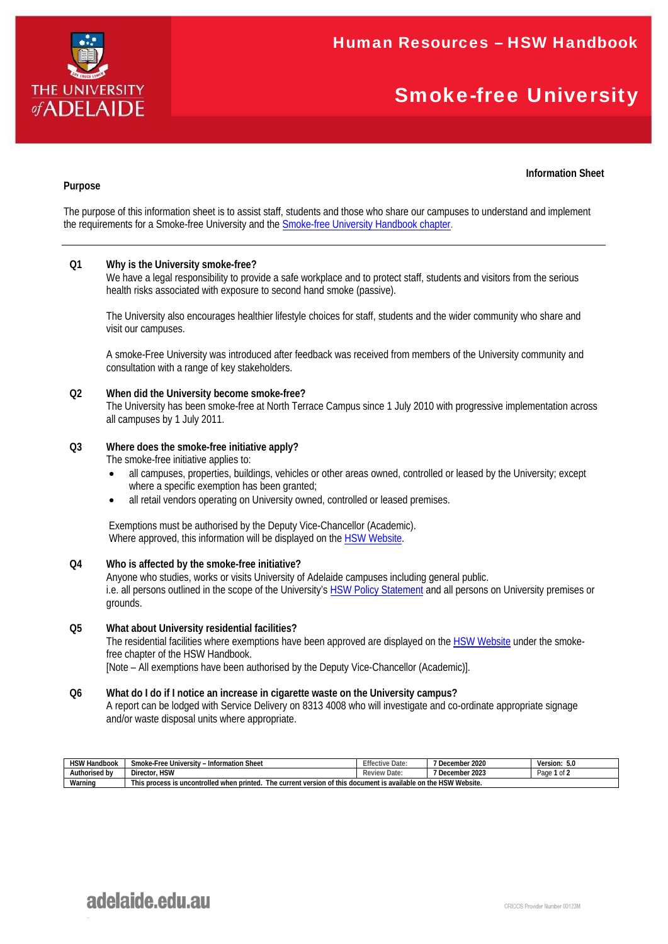

# Smoke-free University

# **Information Sheet**

# **Purpose**

The purpose of this information sheet is to assist staff, students and those who share our campuses to understand and implement the requirements for a Smoke-free University and the **Smoke-free University Handbook chapter**.

# **Q1 Why is the University smoke-free?**

We have a legal responsibility to provide a safe workplace and to protect staff, students and visitors from the serious health risks associated with exposure to second hand smoke (passive).

The University also encourages healthier lifestyle choices for staff, students and the wider community who share and visit our campuses.

A smoke-Free University was introduced after feedback was received from members of the University community and consultation with a range of key stakeholders.

#### **Q2 When did the University become smoke-free?**

The University has been smoke-free at North Terrace Campus since 1 July 2010 with progressive implementation across all campuses by 1 July 2011.

## **Q3 Where does the smoke-free initiative apply?**

The smoke-free initiative applies to:

- all campuses, properties, buildings, vehicles or other areas owned, controlled or leased by the University; except where a specific exemption has been granted;
- all retail vendors operating on University owned, controlled or leased premises.

Exemptions must be authorised by the Deputy Vice-Chancellor (Academic). Where approved, this information will be displayed on the HSW Website.

#### **Q4 Who is affected by the smoke-free initiative?**

Anyone who studies, works or visits University of Adelaide campuses including general public. i.e. all persons outlined in the scope of the University's HSW Policy Statement and all persons on University premises or grounds.

#### **Q5 What about University residential facilities?**

The residential facilities where exemptions have been approved are displayed on the HSW Website under the smokefree chapter of the HSW Handbook.

[Note – All exemptions have been authorised by the Deputy Vice-Chancellor (Academic)].

# **Q6 What do I do if I notice an increase in cigarette waste on the University campus?**

A report can be lodged with Service Delivery on 8313 4008 who will investigate and co-ordinate appropriate signage and/or waste disposal units where appropriate.

| <b>HSW Handbook</b> | ~<br>ı Sheet<br>Smoke-Free University<br>.rmation<br>∡ – Infor″                                                                    | $-$<br>$\leftarrow$<br>Date: | 2020<br>. .<br>December | - -<br>Version:<br>.5.U |  |  |
|---------------------|------------------------------------------------------------------------------------------------------------------------------------|------------------------------|-------------------------|-------------------------|--|--|
| Authorised by       | <b>HSW</b><br>- -<br>Director.                                                                                                     | riew Date.<br>Rev            | 2023<br>--<br>December  | $-1$<br>Page            |  |  |
| $\cdots$<br>Warning | <b>HSW Website.</b><br>of this document is available on the l<br>This process is uncontrolled when printed.<br>The current version |                              |                         |                         |  |  |

# adelaide.edu.au